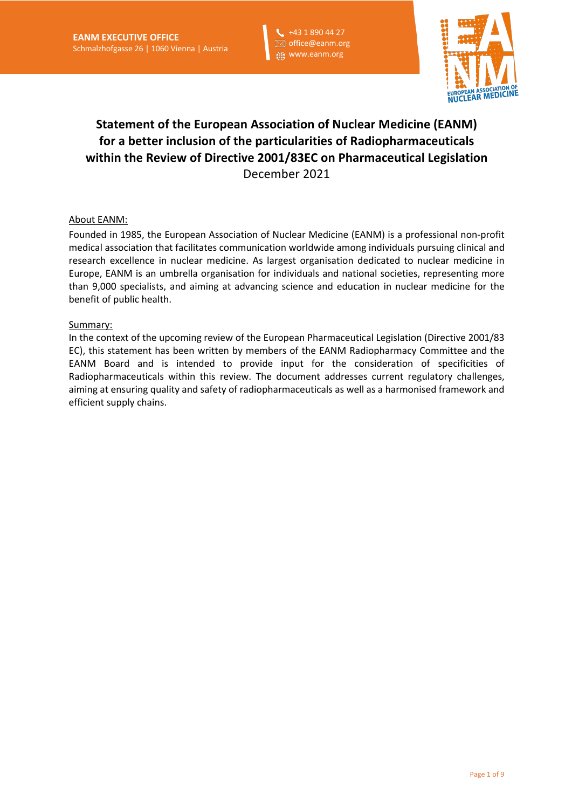



# **Statement of the European Association of Nuclear Medicine (EANM) for a better inclusion of the particularities of Radiopharmaceuticals within the Review of Directive 2001/83EC on Pharmaceutical Legislation** December 2021

## About EANM:

Founded in 1985, the European Association of Nuclear Medicine (EANM) is a professional non-profit medical association that facilitates communication worldwide among individuals pursuing clinical and research excellence in nuclear medicine. As largest organisation dedicated to nuclear medicine in Europe, EANM is an umbrella organisation for individuals and national societies, representing more than 9,000 specialists, and aiming at advancing science and education in nuclear medicine for the benefit of public health.

### Summary:

In the context of the upcoming review of the European Pharmaceutical Legislation (Directive 2001/83 EC), this statement has been written by members of the EANM Radiopharmacy Committee and the EANM Board and is intended to provide input for the consideration of specificities of Radiopharmaceuticals within this review. The document addresses current regulatory challenges, aiming at ensuring quality and safety of radiopharmaceuticals as well as a harmonised framework and efficient supply chains.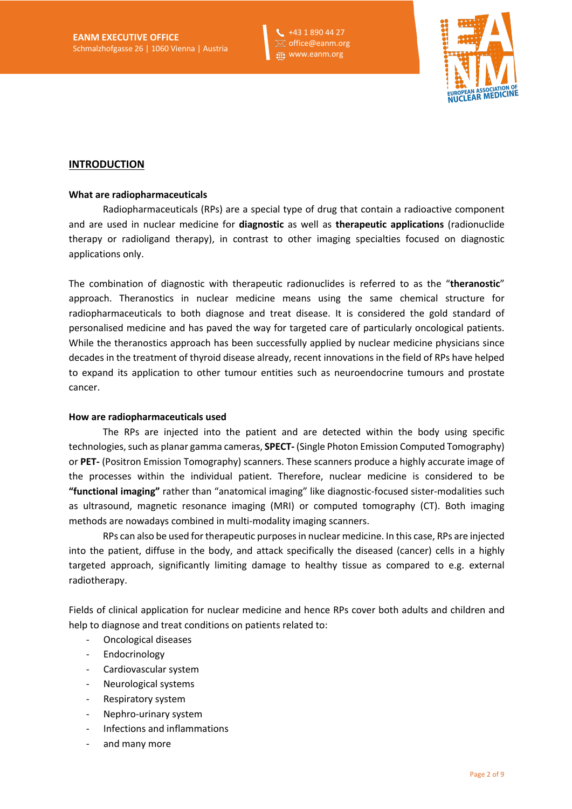

## **INTRODUCTION**

#### **What are radiopharmaceuticals**

Radiopharmaceuticals (RPs) are a special type of drug that contain a radioactive component and are used in nuclear medicine for **diagnostic** as well as **therapeutic applications** (radionuclide therapy or radioligand therapy), in contrast to other imaging specialties focused on diagnostic applications only.

+43 1 890 44 27 office@eanm.org www.eanm.org

The combination of diagnostic with therapeutic radionuclides is referred to as the "**theranostic**" approach. Theranostics in nuclear medicine means using the same chemical structure for radiopharmaceuticals to both diagnose and treat disease. It is considered the gold standard of personalised medicine and has paved the way for targeted care of particularly oncological patients. While the theranostics approach has been successfully applied by nuclear medicine physicians since decades in the treatment of thyroid disease already, recent innovations in the field of RPs have helped to expand its application to other tumour entities such as neuroendocrine tumours and prostate cancer.

### **How are radiopharmaceuticals used**

The RPs are injected into the patient and are detected within the body using specific technologies, such as planar gamma cameras, **SPECT-** (Single Photon Emission Computed Tomography) or **PET-** (Positron Emission Tomography) scanners. These scanners produce a highly accurate image of the processes within the individual patient. Therefore, nuclear medicine is considered to be **"functional imaging"** rather than "anatomical imaging" like diagnostic-focused sister-modalities such as ultrasound, magnetic resonance imaging (MRI) or computed tomography (CT). Both imaging methods are nowadays combined in multi-modality imaging scanners.

RPs can also be used for therapeutic purposes in nuclear medicine. In this case, RPs are injected into the patient, diffuse in the body, and attack specifically the diseased (cancer) cells in a highly targeted approach, significantly limiting damage to healthy tissue as compared to e.g. external radiotherapy.

Fields of clinical application for nuclear medicine and hence RPs cover both adults and children and help to diagnose and treat conditions on patients related to:

- Oncological diseases
- Endocrinology
- Cardiovascular system
- Neurological systems
- Respiratory system
- Nephro-urinary system
- Infections and inflammations
- and many more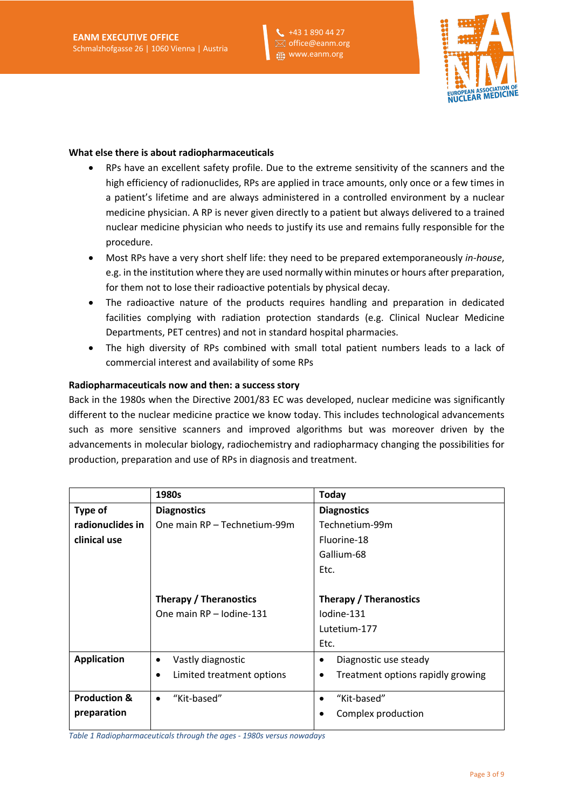



#### **What else there is about radiopharmaceuticals**

- RPs have an excellent safety profile. Due to the extreme sensitivity of the scanners and the high efficiency of radionuclides, RPs are applied in trace amounts, only once or a few times in a patient's lifetime and are always administered in a controlled environment by a nuclear medicine physician. A RP is never given directly to a patient but always delivered to a trained nuclear medicine physician who needs to justify its use and remains fully responsible for the procedure.
- Most RPs have a very short shelf life: they need to be prepared extemporaneously *in-house*, e.g. in the institution where they are used normally within minutes or hours after preparation, for them not to lose their radioactive potentials by physical decay.
- The radioactive nature of the products requires handling and preparation in dedicated facilities complying with radiation protection standards (e.g. Clinical Nuclear Medicine Departments, PET centres) and not in standard hospital pharmacies.
- The high diversity of RPs combined with small total patient numbers leads to a lack of commercial interest and availability of some RPs

### **Radiopharmaceuticals now and then: a success story**

Back in the 1980s when the Directive 2001/83 EC was developed, nuclear medicine was significantly different to the nuclear medicine practice we know today. This includes technological advancements such as more sensitive scanners and improved algorithms but was moreover driven by the advancements in molecular biology, radiochemistry and radiopharmacy changing the possibilities for production, preparation and use of RPs in diagnosis and treatment.

|                         | 1980s                                  | <b>Today</b>                                   |
|-------------------------|----------------------------------------|------------------------------------------------|
| Type of                 | <b>Diagnostics</b>                     | <b>Diagnostics</b>                             |
| radionuclides in        | One main RP - Technetium-99m           | Technetium-99m                                 |
| clinical use            |                                        | Fluorine-18                                    |
|                         |                                        | Gallium-68                                     |
|                         |                                        | Etc.                                           |
|                         |                                        |                                                |
|                         | <b>Therapy / Theranostics</b>          | <b>Therapy / Theranostics</b>                  |
|                         | One main RP - Iodine-131               | lodine-131                                     |
|                         |                                        | Lutetium-177                                   |
|                         |                                        | Etc.                                           |
| <b>Application</b>      | Vastly diagnostic<br>٠                 | Diagnostic use steady                          |
|                         | Limited treatment options<br>$\bullet$ | Treatment options rapidly growing<br>$\bullet$ |
|                         |                                        |                                                |
| <b>Production &amp;</b> | "Kit-based"<br>$\bullet$               | "Kit-based"<br>$\bullet$                       |
| preparation             |                                        | Complex production                             |
|                         |                                        |                                                |

*Table 1 Radiopharmaceuticals through the ages - 1980s versus nowadays*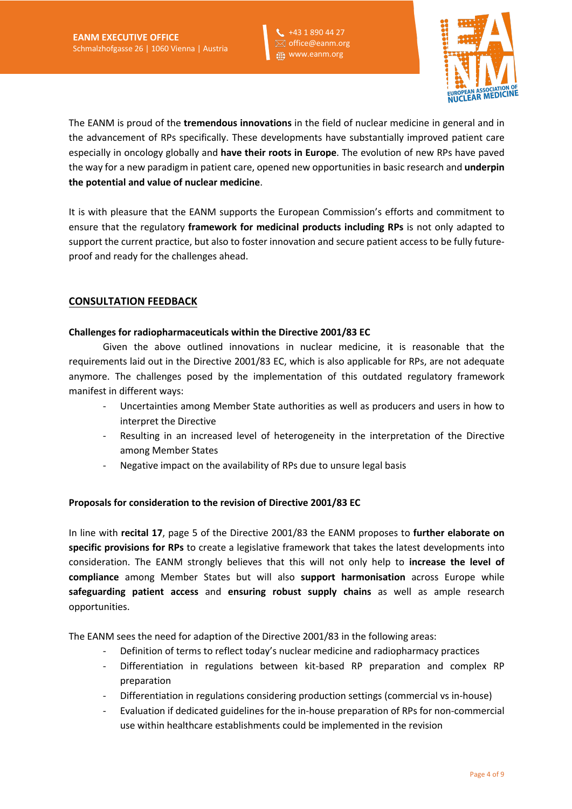



The EANM is proud of the **tremendous innovations** in the field of nuclear medicine in general and in the advancement of RPs specifically. These developments have substantially improved patient care especially in oncology globally and **have their roots in Europe**. The evolution of new RPs have paved the way for a new paradigm in patient care, opened new opportunities in basic research and **underpin the potential and value of nuclear medicine**.

It is with pleasure that the EANM supports the European Commission's efforts and commitment to ensure that the regulatory **framework for medicinal products including RPs** is not only adapted to support the current practice, but also to foster innovation and secure patient access to be fully futureproof and ready for the challenges ahead.

## **CONSULTATION FEEDBACK**

## **Challenges for radiopharmaceuticals within the Directive 2001/83 EC**

Given the above outlined innovations in nuclear medicine, it is reasonable that the requirements laid out in the Directive 2001/83 EC, which is also applicable for RPs, are not adequate anymore. The challenges posed by the implementation of this outdated regulatory framework manifest in different ways:

- Uncertainties among Member State authorities as well as producers and users in how to interpret the Directive
- Resulting in an increased level of heterogeneity in the interpretation of the Directive among Member States
- Negative impact on the availability of RPs due to unsure legal basis

### **Proposals for consideration to the revision of Directive 2001/83 EC**

In line with **recital 17**, page 5 of the Directive 2001/83 the EANM proposes to **further elaborate on specific provisions for RPs** to create a legislative framework that takes the latest developments into consideration. The EANM strongly believes that this will not only help to **increase the level of compliance** among Member States but will also **support harmonisation** across Europe while **safeguarding patient access** and **ensuring robust supply chains** as well as ample research opportunities.

The EANM sees the need for adaption of the Directive 2001/83 in the following areas:

- Definition of terms to reflect today's nuclear medicine and radiopharmacy practices
- Differentiation in regulations between kit-based RP preparation and complex RP preparation
- Differentiation in regulations considering production settings (commercial vs in-house)
- Evaluation if dedicated guidelines for the in-house preparation of RPs for non-commercial use within healthcare establishments could be implemented in the revision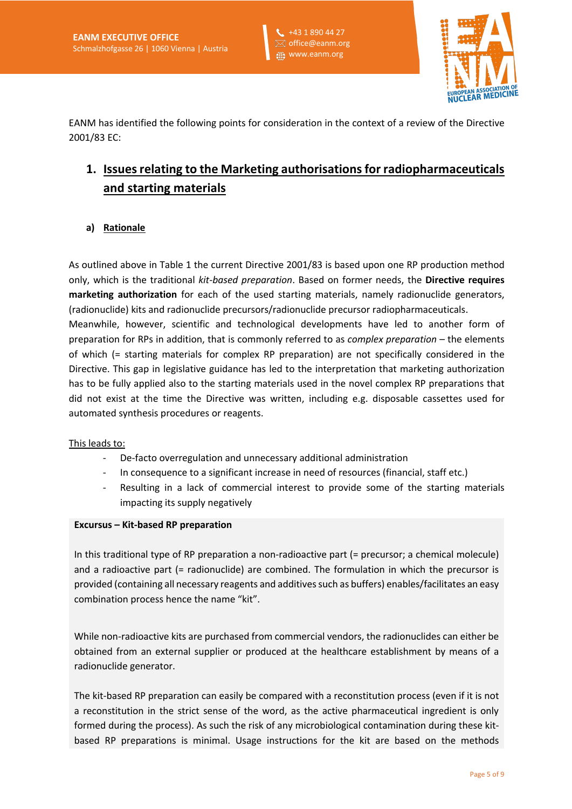



EANM has identified the following points for consideration in the context of a review of the Directive 2001/83 EC:

# **1. Issues relating to the Marketing authorisations for radiopharmaceuticals and starting materials**

## **a) Rationale**

As outlined above in Table 1 the current Directive 2001/83 is based upon one RP production method only, which is the traditional *kit-based preparation*. Based on former needs, the **Directive requires marketing authorization** for each of the used starting materials, namely radionuclide generators, (radionuclide) kits and radionuclide precursors/radionuclide precursor radiopharmaceuticals.

Meanwhile, however, scientific and technological developments have led to another form of preparation for RPs in addition, that is commonly referred to as *complex preparation* – the elements of which (= starting materials for complex RP preparation) are not specifically considered in the Directive. This gap in legislative guidance has led to the interpretation that marketing authorization has to be fully applied also to the starting materials used in the novel complex RP preparations that did not exist at the time the Directive was written, including e.g. disposable cassettes used for automated synthesis procedures or reagents.

### This leads to:

- De-facto overregulation and unnecessary additional administration
- In consequence to a significant increase in need of resources (financial, staff etc.)
- Resulting in a lack of commercial interest to provide some of the starting materials impacting its supply negatively

## **Excursus – Kit-based RP preparation**

In this traditional type of RP preparation a non-radioactive part (= precursor; a chemical molecule) and a radioactive part (= radionuclide) are combined. The formulation in which the precursor is provided (containing all necessary reagents and additives such as buffers) enables/facilitates an easy combination process hence the name "kit".

While non-radioactive kits are purchased from commercial vendors, the radionuclides can either be obtained from an external supplier or produced at the healthcare establishment by means of a radionuclide generator.

The kit-based RP preparation can easily be compared with a reconstitution process (even if it is not a reconstitution in the strict sense of the word, as the active pharmaceutical ingredient is only formed during the process). As such the risk of any microbiological contamination during these kitbased RP preparations is minimal. Usage instructions for the kit are based on the methods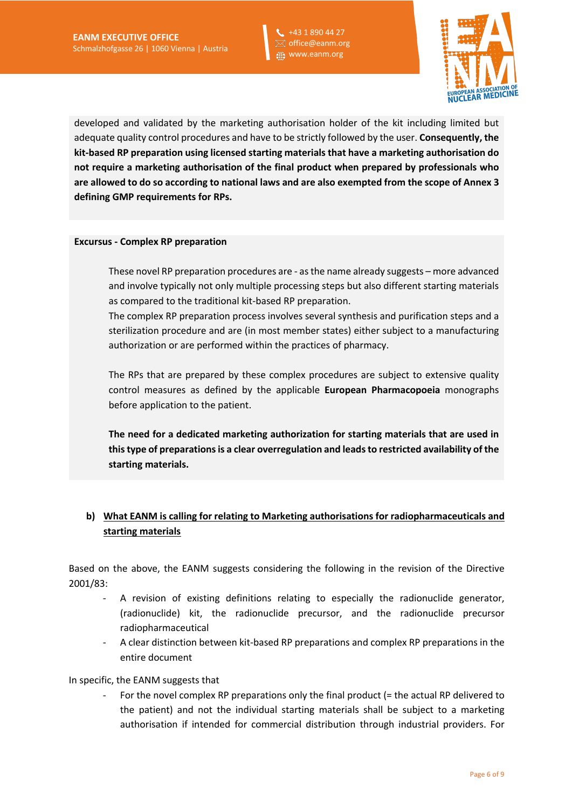



developed and validated by the marketing authorisation holder of the kit including limited but adequate quality control procedures and have to be strictly followed by the user. **Consequently, the kit-based RP preparation using licensed starting materials that have a marketing authorisation do not require a marketing authorisation of the final product when prepared by professionals who are allowed to do so according to national laws and are also exempted from the scope of Annex 3 defining GMP requirements for RPs.**

### **Excursus - Complex RP preparation**

These novel RP preparation procedures are - as the name already suggests – more advanced and involve typically not only multiple processing steps but also different starting materials as compared to the traditional kit-based RP preparation.

The complex RP preparation process involves several synthesis and purification steps and a sterilization procedure and are (in most member states) either subject to a manufacturing authorization or are performed within the practices of pharmacy.

The RPs that are prepared by these complex procedures are subject to extensive quality control measures as defined by the applicable **European Pharmacopoeia** monographs before application to the patient.

**The need for a dedicated marketing authorization for starting materials that are used in this type of preparations is a clear overregulation and leads to restricted availability of the starting materials.**

## **b) What EANM is calling for relating to Marketing authorisations for radiopharmaceuticals and starting materials**

Based on the above, the EANM suggests considering the following in the revision of the Directive 2001/83:

- A revision of existing definitions relating to especially the radionuclide generator, (radionuclide) kit, the radionuclide precursor, and the radionuclide precursor radiopharmaceutical
- A clear distinction between kit-based RP preparations and complex RP preparations in the entire document

In specific, the EANM suggests that

For the novel complex RP preparations only the final product (= the actual RP delivered to the patient) and not the individual starting materials shall be subject to a marketing authorisation if intended for commercial distribution through industrial providers. For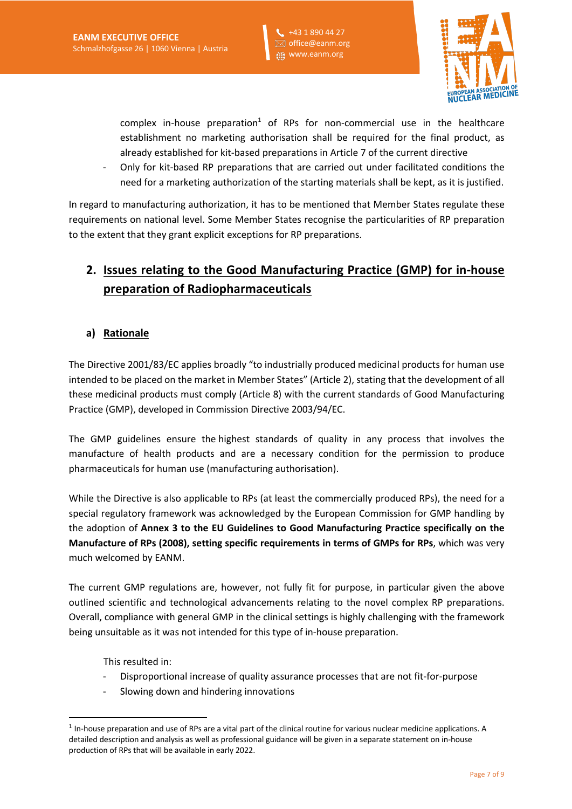



complex in-house preparation<sup>1</sup> of RPs for non-commercial use in the healthcare establishment no marketing authorisation shall be required for the final product, as already established for kit-based preparations in Article 7 of the current directive

- Only for kit-based RP preparations that are carried out under facilitated conditions the need for a marketing authorization of the starting materials shall be kept, as it is justified.

In regard to manufacturing authorization, it has to be mentioned that Member States regulate these requirements on national level. Some Member States recognise the particularities of RP preparation to the extent that they grant explicit exceptions for RP preparations.

# **2. Issues relating to the Good Manufacturing Practice (GMP) for in-house preparation of Radiopharmaceuticals**

## **a) Rationale**

The Directive 2001/83/EC applies broadly "to industrially produced medicinal products for human use intended to be placed on the market in Member States" (Article 2), stating that the development of all these medicinal products must comply (Article 8) with the current standards of Good Manufacturing Practice (GMP), developed in Commission Directive 2003/94/EC.

The GMP guidelines ensure the highest standards of quality in any process that involves the manufacture of health products and are a necessary condition for the permission to produce pharmaceuticals for human use (manufacturing authorisation).

While the Directive is also applicable to RPs (at least the commercially produced RPs), the need for a special regulatory framework was acknowledged by the European Commission for GMP handling by the adoption of **Annex 3 to the EU Guidelines to Good Manufacturing Practice specifically on the Manufacture of RPs (2008), setting specific requirements in terms of GMPs for RPs**, which was very much welcomed by EANM.

The current GMP regulations are, however, not fully fit for purpose, in particular given the above outlined scientific and technological advancements relating to the novel complex RP preparations. Overall, compliance with general GMP in the clinical settings is highly challenging with the framework being unsuitable as it was not intended for this type of in-house preparation.

This resulted in:

- Disproportional increase of quality assurance processes that are not fit-for-purpose
- Slowing down and hindering innovations

 $1$  In-house preparation and use of RPs are a vital part of the clinical routine for various nuclear medicine applications. A detailed description and analysis as well as professional guidance will be given in a separate statement on in-house production of RPs that will be available in early 2022.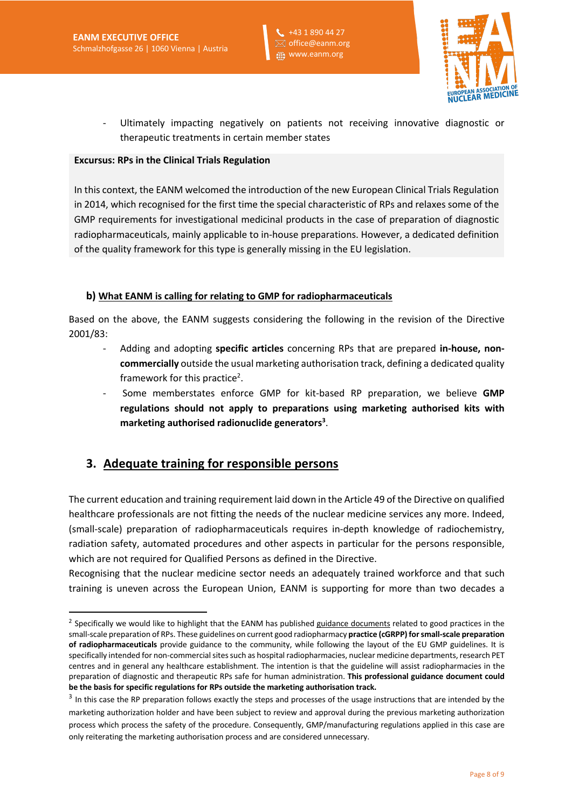



- Ultimately impacting negatively on patients not receiving innovative diagnostic or therapeutic treatments in certain member states

### **Excursus: RPs in the Clinical Trials Regulation**

In this context, the EANM welcomed the introduction of the new European Clinical Trials Regulation in 2014, which recognised for the first time the special characteristic of RPs and relaxes some of the GMP requirements for investigational medicinal products in the case of preparation of diagnostic radiopharmaceuticals, mainly applicable to in-house preparations. However, a dedicated definition of the quality framework for this type is generally missing in the EU legislation.

## **b) What EANM is calling for relating to GMP for radiopharmaceuticals**

Based on the above, the EANM suggests considering the following in the revision of the Directive 2001/83:

- Adding and adopting **specific articles** concerning RPs that are prepared **in-house, noncommercially** outside the usual marketing authorisation track, defining a dedicated quality framework for this practice<sup>2</sup>.
- Some memberstates enforce GMP for kit-based RP preparation, we believe **GMP regulations should not apply to preparations using marketing authorised kits with**  marketing authorised radionuclide generators<sup>3</sup>.

## **3. Adequate training for responsible persons**

The current education and training requirement laid down in the Article 49 of the Directive on qualified healthcare professionals are not fitting the needs of the nuclear medicine services any more. Indeed, (small-scale) preparation of radiopharmaceuticals requires in-depth knowledge of radiochemistry, radiation safety, automated procedures and other aspects in particular for the persons responsible, which are not required for Qualified Persons as defined in the Directive.

Recognising that the nuclear medicine sector needs an adequately trained workforce and that such training is uneven across the European Union, EANM is supporting for more than two decades a

<sup>&</sup>lt;sup>2</sup> Specifically we would like to highlight that the EANM has published guidance documents related to good practices in the small-scale preparation of RPs. These guidelines on current good radiopharmacy **practice (cGRPP) for small-scale preparation of radiopharmaceuticals** provide guidance to the community, while following the layout of the EU GMP guidelines. It is specifically intended for non-commercial sites such as hospital radiopharmacies, nuclear medicine departments, research PET centres and in general any healthcare establishment. The intention is that the guideline will assist radiopharmacies in the preparation of diagnostic and therapeutic RPs safe for human administration. **This professional guidance document could be the basis for specific regulations for RPs outside the marketing authorisation track.**

<sup>&</sup>lt;sup>3</sup> In this case the RP preparation follows exactly the steps and processes of the usage instructions that are intended by the marketing authorization holder and have been subject to review and approval during the previous marketing authorization process which process the safety of the procedure. Consequently, GMP/manufacturing regulations applied in this case are only reiterating the marketing authorisation process and are considered unnecessary.